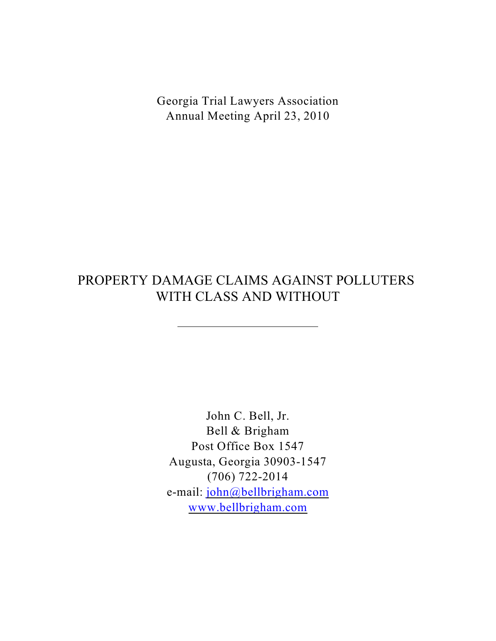Georgia Trial Lawyers Association Annual Meeting April 23, 2010

# PROPERTY DAMAGE CLAIMS AGAINST POLLUTERS WITH CLASS AND WITHOUT

 $\overline{a}$ 

John C. Bell, Jr. Bell & Brigham Post Office Box 1547 Augusta, Georgia 30903-1547 (706) 722-2014 e-mail: [john@bellbrigham.com](mailto:john@bellbrigham.com) [www.bellbrigham.com](http://www.bellbrigham.com)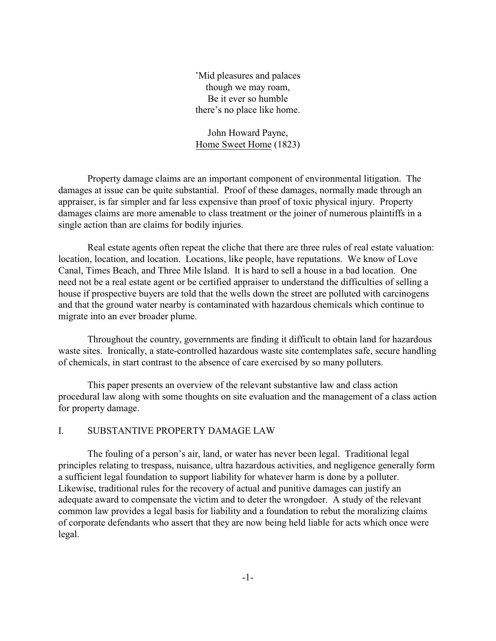'Mid pleasures and palaces though we may roam, Be it ever so humble there's no place like home.

John Howard Payne, Home Sweet Home (1823)

Property damage claims are an important component of environmental litigation. The damages at issue can be quite substantial. Proof of these damages, normally made through an appraiser, is far simpler and far less expensive than proof of toxic physical injury. Property damages claims are more amenable to class treatment or the joiner of numerous plaintiffs in a single action than are claims for bodily injuries.

Real estate agents often repeat the cliche that there are three rules of real estate valuation: location, location, and location. Locations, like people, have reputations. We know of Love Canal, Times Beach, and Three Mile Island. It is hard to sell a house in a bad location. One need not be a real estate agent or be certified appraiser to understand the difficulties of selling a house if prospective buyers are told that the wells down the street are polluted with carcinogens and that the ground water nearby is contaminated with hazardous chemicals which continue to migrate into an ever broader plume.

Throughout the country, governments are finding it difficult to obtain land for hazardous waste sites. Ironically, a state-controlled hazardous waste site contemplates safe, secure handling of chemicals, in start contrast to the absence of care exercised by so many polluters.

This paper presents an overview of the relevant substantive law and class action procedural law along with some thoughts on site evaluation and the management of a class action for property damage.

### I. SUBSTANTIVE PROPERTY DAMAGE LAW

The fouling of a person's air, land, or water has never been legal. Traditional legal principles relating to trespass, nuisance, ultra hazardous activities, and negligence generally form a sufficient legal foundation to support liability for whatever harm is done by a polluter. Likewise, traditional rules for the recovery of actual and punitive damages can justify an adequate award to compensate the victim and to deter the wrongdoer. A study of the relevant common law provides a legal basis for liability and a foundation to rebut the moralizing claims of corporate defendants who assert that they are now being held liable for acts which once were legal.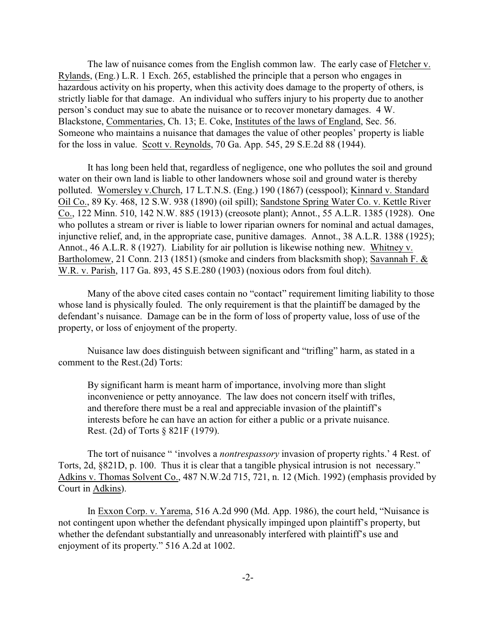The law of nuisance comes from the English common law. The early case of Fletcher v. Rylands, (Eng.) L.R. 1 Exch. 265, established the principle that a person who engages in hazardous activity on his property, when this activity does damage to the property of others, is strictly liable for that damage. An individual who suffers injury to his property due to another person's conduct may sue to abate the nuisance or to recover monetary damages. 4 W. Blackstone, Commentaries, Ch. 13; E. Coke, Institutes of the laws of England, Sec. 56. Someone who maintains a nuisance that damages the value of other peoples' property is liable for the loss in value. Scott v. Reynolds, 70 Ga. App. 545, 29 S.E.2d 88 (1944).

It has long been held that, regardless of negligence, one who pollutes the soil and ground water on their own land is liable to other landowners whose soil and ground water is thereby polluted. Womersley v.Church, 17 L.T.N.S. (Eng.) 190 (1867) (cesspool); Kinnard v. Standard Oil Co., 89 Ky. 468, 12 S.W. 938 (1890) (oil spill); Sandstone Spring Water Co. v. Kettle River Co., 122 Minn. 510, 142 N.W. 885 (1913) (creosote plant); Annot., 55 A.L.R. 1385 (1928). One who pollutes a stream or river is liable to lower riparian owners for nominal and actual damages, injunctive relief, and, in the appropriate case, punitive damages. Annot., 38 A.L.R. 1388 (1925); Annot., 46 A.L.R. 8 (1927). Liability for air pollution is likewise nothing new. Whitney v. Bartholomew, 21 Conn. 213 (1851) (smoke and cinders from blacksmith shop); Savannah F. & W.R. v. Parish, 117 Ga. 893, 45 S.E.280 (1903) (noxious odors from foul ditch).

Many of the above cited cases contain no "contact" requirement limiting liability to those whose land is physically fouled. The only requirement is that the plaintiff be damaged by the defendant's nuisance. Damage can be in the form of loss of property value, loss of use of the property, or loss of enjoyment of the property.

Nuisance law does distinguish between significant and "trifling" harm, as stated in a comment to the Rest.(2d) Torts:

By significant harm is meant harm of importance, involving more than slight inconvenience or petty annoyance. The law does not concern itself with trifles, and therefore there must be a real and appreciable invasion of the plaintiff's interests before he can have an action for either a public or a private nuisance. Rest. (2d) of Torts § 821F (1979).

The tort of nuisance " 'involves a *nontrespassory* invasion of property rights.' 4 Rest. of Torts, 2d, §821D, p. 100. Thus it is clear that a tangible physical intrusion is not necessary." Adkins v. Thomas Solvent Co., 487 N.W.2d 715, 721, n. 12 (Mich. 1992) (emphasis provided by Court in Adkins).

In Exxon Corp. v. Yarema, 516 A.2d 990 (Md. App. 1986), the court held, "Nuisance is not contingent upon whether the defendant physically impinged upon plaintiff's property, but whether the defendant substantially and unreasonably interfered with plaintiff's use and enjoyment of its property." 516 A.2d at 1002.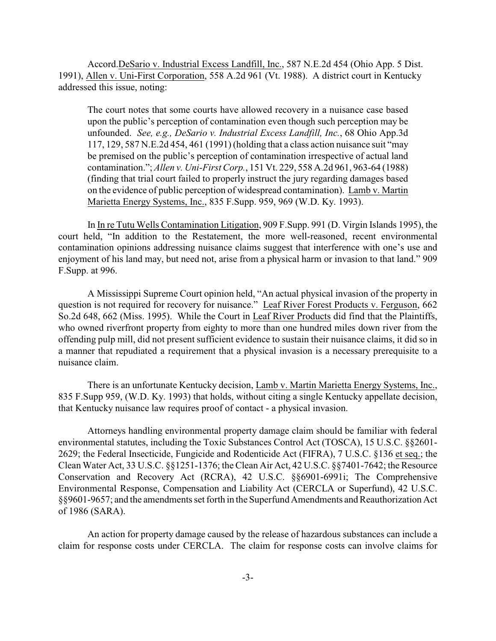Accord.DeSario v. Industrial Excess Landfill, Inc., 587 N.E.2d 454 (Ohio App. 5 Dist. 1991), Allen v. Uni-First Corporation, 558 A.2d 961 (Vt. 1988). A district court in Kentucky addressed this issue, noting:

The court notes that some courts have allowed recovery in a nuisance case based upon the public's perception of contamination even though such perception may be unfounded. *See, e.g., DeSario v. Industrial Excess Landfill, Inc.*, 68 Ohio App.3d 117, 129, 587 N.E.2d 454, 461 (1991) (holding that a class action nuisance suit "may be premised on the public's perception of contamination irrespective of actual land contamination."; *Allen v. Uni-First Corp.*, 151 Vt. 229, 558 A.2d 961, 963-64 (1988) (finding that trial court failed to properly instruct the jury regarding damages based on the evidence of public perception of widespread contamination). Lamb v. Martin Marietta Energy Systems, Inc., 835 F.Supp. 959, 969 (W.D. Ky. 1993).

In In re Tutu Wells Contamination Litigation, 909 F.Supp. 991 (D. Virgin Islands 1995), the court held, "In addition to the Restatement, the more well-reasoned, recent environmental contamination opinions addressing nuisance claims suggest that interference with one's use and enjoyment of his land may, but need not, arise from a physical harm or invasion to that land." 909 F.Supp. at 996.

A Mississippi Supreme Court opinion held, "An actual physical invasion of the property in question is not required for recovery for nuisance." Leaf River Forest Products v. Ferguson, 662 So.2d 648, 662 (Miss. 1995). While the Court in Leaf River Products did find that the Plaintiffs, who owned riverfront property from eighty to more than one hundred miles down river from the offending pulp mill, did not present sufficient evidence to sustain their nuisance claims, it did so in a manner that repudiated a requirement that a physical invasion is a necessary prerequisite to a nuisance claim.

There is an unfortunate Kentucky decision, Lamb v. Martin Marietta Energy Systems, Inc., 835 F.Supp 959, (W.D. Ky. 1993) that holds, without citing a single Kentucky appellate decision, that Kentucky nuisance law requires proof of contact - a physical invasion.

Attorneys handling environmental property damage claim should be familiar with federal environmental statutes, including the Toxic Substances Control Act (TOSCA), 15 U.S.C. §§2601- 2629; the Federal Insecticide, Fungicide and Rodenticide Act (FIFRA), 7 U.S.C. §136 et seq.; the Clean Water Act, 33 U.S.C. §§1251-1376; the Clean Air Act, 42 U.S.C. §§7401-7642; the Resource Conservation and Recovery Act (RCRA), 42 U.S.C. §§6901-6991i; The Comprehensive Environmental Response, Compensation and Liability Act (CERCLA or Superfund), 42 U.S.C. §§9601-9657; and the amendments set forth in the Superfund Amendments and Reauthorization Act of 1986 (SARA).

An action for property damage caused by the release of hazardous substances can include a claim for response costs under CERCLA. The claim for response costs can involve claims for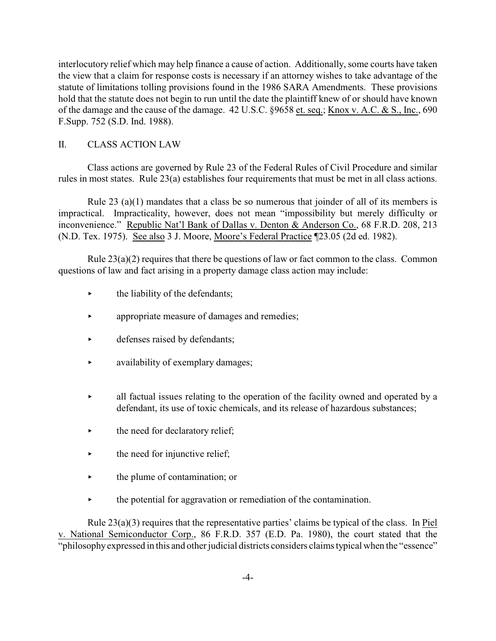interlocutory relief which may help finance a cause of action. Additionally, some courts have taken the view that a claim for response costs is necessary if an attorney wishes to take advantage of the statute of limitations tolling provisions found in the 1986 SARA Amendments. These provisions hold that the statute does not begin to run until the date the plaintiff knew of or should have known of the damage and the cause of the damage. 42 U.S.C. §9658 et. seq.; Knox v. A.C. & S., Inc., 690 F.Supp. 752 (S.D. Ind. 1988).

## II. CLASS ACTION LAW

Class actions are governed by Rule 23 of the Federal Rules of Civil Procedure and similar rules in most states. Rule 23(a) establishes four requirements that must be met in all class actions.

Rule 23 (a)(1) mandates that a class be so numerous that joinder of all of its members is impractical. Impracticality, however, does not mean "impossibility but merely difficulty or inconvenience." Republic Nat'l Bank of Dallas v. Denton & Anderson Co., 68 F.R.D. 208, 213 (N.D. Tex. 1975). See also 3 J. Moore, Moore's Federal Practice ¶23.05 (2d ed. 1982).

Rule  $23(a)(2)$  requires that there be questions of law or fact common to the class. Common questions of law and fact arising in a property damage class action may include:

- $\blacktriangleright$  the liability of the defendants;
- < appropriate measure of damages and remedies;
- $\blacktriangleright$  defenses raised by defendants;
- availability of exemplary damages;
- all factual issues relating to the operation of the facility owned and operated by a defendant, its use of toxic chemicals, and its release of hazardous substances;
- $\blacktriangleright$  the need for declaratory relief;
- $\blacktriangleright$  the need for injunctive relief;
- $\rightarrow$  the plume of contamination; or
- $\rightarrow$  the potential for aggravation or remediation of the contamination.

Rule 23(a)(3) requires that the representative parties' claims be typical of the class. In Piel v. National Semiconductor Corp., 86 F.R.D. 357 (E.D. Pa. 1980), the court stated that the "philosophy expressed in this and other judicial districts considers claims typical when the "essence"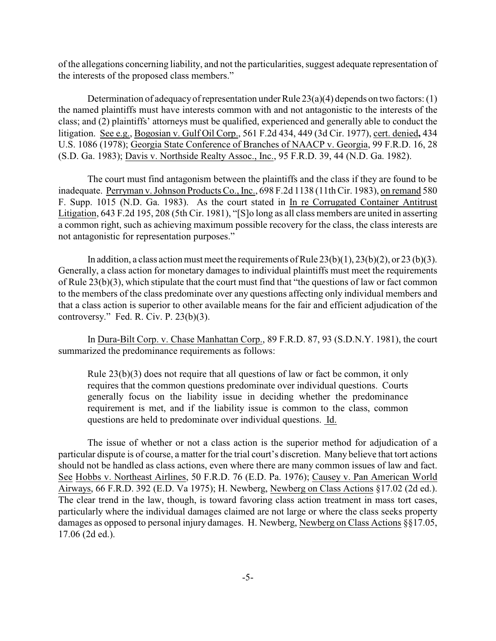of the allegations concerning liability, and not the particularities, suggest adequate representation of the interests of the proposed class members."

Determination of adequacy of representation under Rule  $23(a)(4)$  depends on two factors: (1) the named plaintiffs must have interests common with and not antagonistic to the interests of the class; and (2) plaintiffs' attorneys must be qualified, experienced and generally able to conduct the litigation. See e.g., Bogosian v. Gulf Oil Corp., 561 F.2d 434, 449 (3d Cir. 1977), cert. denied**,** 434 U.S. 1086 (1978); Georgia State Conference of Branches of NAACP v. Georgia, 99 F.R.D. 16, 28 (S.D. Ga. 1983); Davis v. Northside Realty Assoc., Inc., 95 F.R.D. 39, 44 (N.D. Ga. 1982).

The court must find antagonism between the plaintiffs and the class if they are found to be inadequate. Perryman v. Johnson Products Co., Inc., 698 F.2d 1138 (11th Cir. 1983), on remand 580 F. Supp. 1015 (N.D. Ga. 1983). As the court stated in In re Corrugated Container Antitrust Litigation, 643 F.2d 195, 208 (5th Cir. 1981), "[S]o long as all class members are united in asserting a common right, such as achieving maximum possible recovery for the class, the class interests are not antagonistic for representation purposes."

In addition, a class action must meet the requirements of Rule  $(23(b)(1), 23(b)(2), 0r 23(b)(3))$ . Generally, a class action for monetary damages to individual plaintiffs must meet the requirements of Rule 23(b)(3), which stipulate that the court must find that "the questions of law or fact common to the members of the class predominate over any questions affecting only individual members and that a class action is superior to other available means for the fair and efficient adjudication of the controversy." Fed. R. Civ. P. 23(b)(3).

In Dura-Bilt Corp. v. Chase Manhattan Corp., 89 F.R.D. 87, 93 (S.D.N.Y. 1981), the court summarized the predominance requirements as follows:

Rule 23(b)(3) does not require that all questions of law or fact be common, it only requires that the common questions predominate over individual questions. Courts generally focus on the liability issue in deciding whether the predominance requirement is met, and if the liability issue is common to the class, common questions are held to predominate over individual questions. Id.

The issue of whether or not a class action is the superior method for adjudication of a particular dispute is of course, a matter for the trial court's discretion. Many believe that tort actions should not be handled as class actions, even where there are many common issues of law and fact. See Hobbs v. Northeast Airlines, 50 F.R.D. 76 (E.D. Pa. 1976); Causey v. Pan American World Airways, 66 F.R.D. 392 (E.D. Va 1975); H. Newberg, Newberg on Class Actions §17.02 (2d ed.). The clear trend in the law, though, is toward favoring class action treatment in mass tort cases, particularly where the individual damages claimed are not large or where the class seeks property damages as opposed to personal injury damages. H. Newberg, Newberg on Class Actions §§17.05, 17.06 (2d ed.).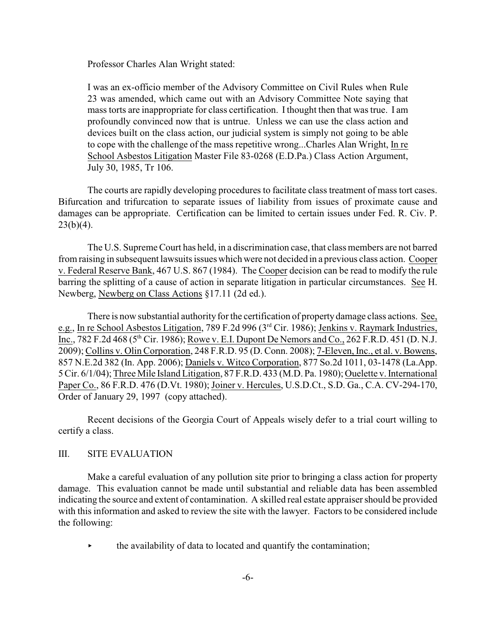Professor Charles Alan Wright stated:

I was an ex-officio member of the Advisory Committee on Civil Rules when Rule 23 was amended, which came out with an Advisory Committee Note saying that mass torts are inappropriate for class certification. I thought then that was true. I am profoundly convinced now that is untrue. Unless we can use the class action and devices built on the class action, our judicial system is simply not going to be able to cope with the challenge of the mass repetitive wrong...Charles Alan Wright, In re School Asbestos Litigation Master File 83-0268 (E.D.Pa.) Class Action Argument, July 30, 1985, Tr 106.

The courts are rapidly developing procedures to facilitate class treatment of mass tort cases. Bifurcation and trifurcation to separate issues of liability from issues of proximate cause and damages can be appropriate. Certification can be limited to certain issues under Fed. R. Civ. P.  $23(b)(4)$ .

The U.S. Supreme Court has held, in a discrimination case, that class members are not barred from raising in subsequent lawsuits issues which were not decided in a previous class action. Cooper v. Federal Reserve Bank, 467 U.S. 867 (1984). The Cooper decision can be read to modify the rule barring the splitting of a cause of action in separate litigation in particular circumstances. See H. Newberg, Newberg on Class Actions §17.11 (2d ed.).

There is now substantial authority for the certification of property damage class actions. See, e.g., In re School Asbestos Litigation, 789 F.2d 996 ( $3<sup>rd</sup>$  Cir. 1986); Jenkins v. Raymark Industries, Inc., 782 F.2d 468 ( $5<sup>th</sup>$  Cir. 1986); Rowe v. E.I. Dupont De Nemors and Co., 262 F.R.D. 451 (D. N.J. 2009); Collins v. Olin Corporation, 248 F.R.D. 95 (D. Conn. 2008); 7-Eleven, Inc., et al. v. Bowens, 857 N.E.2d 382 (In. App. 2006); Daniels v. Witco Corporation, 877 So.2d 1011, 03-1478 (La.App. 5 Cir. 6/1/04); Three Mile Island Litigation, 87 F.R.D. 433 (M.D. Pa. 1980); Ouelette v. International Paper Co., 86 F.R.D. 476 (D.Vt. 1980); Joiner v. Hercules, U.S.D.Ct., S.D. Ga., C.A. CV-294-170, Order of January 29, 1997 (copy attached).

Recent decisions of the Georgia Court of Appeals wisely defer to a trial court willing to certify a class.

## III. SITE EVALUATION

Make a careful evaluation of any pollution site prior to bringing a class action for property damage. This evaluation cannot be made until substantial and reliable data has been assembled indicating the source and extent of contamination. A skilled real estate appraiser should be provided with this information and asked to review the site with the lawyer. Factors to be considered include the following:

 $\blacktriangleright$  the availability of data to located and quantify the contamination;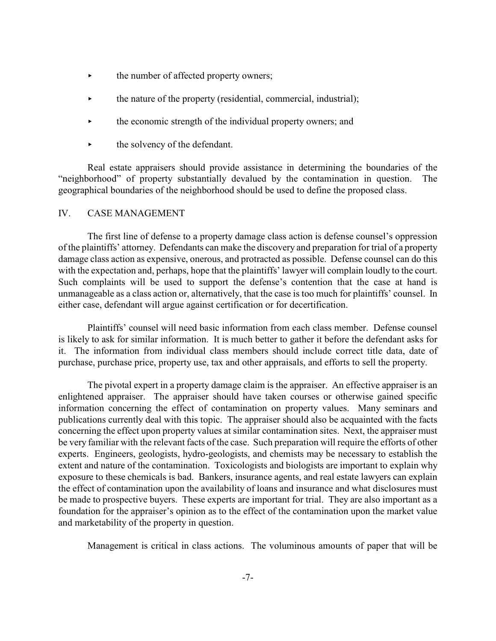- $\blacktriangleright$  the number of affected property owners;
- $\triangleright$  the nature of the property (residential, commercial, industrial);
- the economic strength of the individual property owners; and
- the solvency of the defendant.

Real estate appraisers should provide assistance in determining the boundaries of the "neighborhood" of property substantially devalued by the contamination in question. The geographical boundaries of the neighborhood should be used to define the proposed class.

### IV. CASE MANAGEMENT

The first line of defense to a property damage class action is defense counsel's oppression of the plaintiffs' attorney. Defendants can make the discovery and preparation for trial of a property damage class action as expensive, onerous, and protracted as possible. Defense counsel can do this with the expectation and, perhaps, hope that the plaintiffs' lawyer will complain loudly to the court. Such complaints will be used to support the defense's contention that the case at hand is unmanageable as a class action or, alternatively, that the case is too much for plaintiffs' counsel. In either case, defendant will argue against certification or for decertification.

Plaintiffs' counsel will need basic information from each class member. Defense counsel is likely to ask for similar information. It is much better to gather it before the defendant asks for it. The information from individual class members should include correct title data, date of purchase, purchase price, property use, tax and other appraisals, and efforts to sell the property.

The pivotal expert in a property damage claim is the appraiser. An effective appraiser is an enlightened appraiser. The appraiser should have taken courses or otherwise gained specific information concerning the effect of contamination on property values. Many seminars and publications currently deal with this topic. The appraiser should also be acquainted with the facts concerning the effect upon property values at similar contamination sites. Next, the appraiser must be very familiar with the relevant facts of the case. Such preparation will require the efforts of other experts. Engineers, geologists, hydro-geologists, and chemists may be necessary to establish the extent and nature of the contamination. Toxicologists and biologists are important to explain why exposure to these chemicals is bad. Bankers, insurance agents, and real estate lawyers can explain the effect of contamination upon the availability of loans and insurance and what disclosures must be made to prospective buyers. These experts are important for trial. They are also important as a foundation for the appraiser's opinion as to the effect of the contamination upon the market value and marketability of the property in question.

Management is critical in class actions. The voluminous amounts of paper that will be